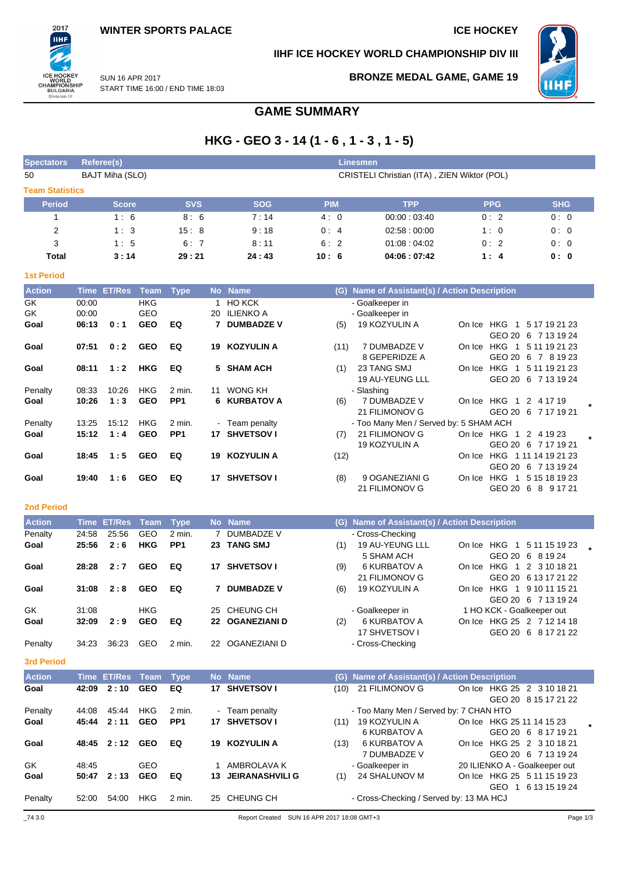2017 ПHI

ICE HOCKEY<br>WORLD<br>CHAMPIONSHIP<br>BULGARIA<br>Division III

# **IIHF ICE HOCKEY WORLD CHAMPIONSHIP DIV III**



SUN 16 APR 2017 START TIME 16:00 / END TIME 18:03

## **BRONZE MEDAL GAME, GAME 19**

# **GAME SUMMARY**

# **HKG - GEO 3 - 14 (1 - 6 , 1 - 3 , 1 - 5)**

| <b>Spectators</b>      | Referee(s)     |                  |             |                           |                |                                 |            | <b>Linesmen</b>                               |                               |                      |
|------------------------|----------------|------------------|-------------|---------------------------|----------------|---------------------------------|------------|-----------------------------------------------|-------------------------------|----------------------|
| 50                     |                | BAJT Miha (SLO)  |             |                           |                |                                 |            | CRISTELI Christian (ITA), ZIEN Wiktor (POL)   |                               |                      |
| <b>Team Statistics</b> |                |                  |             |                           |                |                                 |            |                                               |                               |                      |
| <b>Period</b>          |                | <b>Score</b>     |             | <b>SVS</b>                |                | <b>SOG</b>                      | <b>PIM</b> | <b>TPP</b>                                    | <b>PPG</b>                    | <b>SHG</b>           |
| 1                      |                | 1:6              |             | 8:6                       |                | 7:14                            | 4:0        | 00:00:03:40                                   | 0:2                           | 0:0                  |
| $\overline{2}$         |                | 1:3              |             | 15:8                      |                | 9:18                            | 0:4        | 02:58:00:00                                   | 1:0                           | 0:0                  |
| 3                      |                | 1:5              |             | 6:7                       |                | 8:11                            | 6:2        | 01:08:04:02                                   | 0:2                           | 0:0                  |
| Total                  |                | 3:14             |             | 29:21                     |                | 24:43                           | 10:6       | 04:06:07:42                                   | 1:4                           | 0: 0                 |
| <b>1st Period</b>      |                |                  |             |                           |                |                                 |            |                                               |                               |                      |
| <b>Action</b>          |                | Time ET/Res Team |             | <b>Type</b>               |                | No Name                         |            | (G) Name of Assistant(s) / Action Description |                               |                      |
| GK                     | 00:00          |                  | <b>HKG</b>  |                           |                | 1 HO KCK                        |            | - Goalkeeper in                               |                               |                      |
| GK                     | 00:00          |                  | GEO         |                           |                | 20 ILIENKO A                    |            | - Goalkeeper in                               |                               |                      |
| Goal                   | 06:13          | 0:1              | <b>GEO</b>  | EQ                        | 7              | <b>DUMBADZE V</b>               | (5)        | 19 KOZYULIN A                                 | On Ice HKG 1 5 17 19 21 23    |                      |
|                        |                |                  |             |                           |                |                                 |            |                                               |                               | GEO 20 6 7 13 19 24  |
| Goal                   | 07:51          | 0:2              | <b>GEO</b>  | EQ                        |                | 19 KOZYULIN A                   | (11)       | 7 DUMBADZE V                                  | On Ice HKG 1 5 11 19 21 23    |                      |
|                        |                |                  |             |                           |                |                                 |            | 8 GEPERIDZE A                                 |                               | GEO 20 6 7 8 19 23   |
| Goal                   | 08:11          | 1:2              | <b>HKG</b>  | EQ                        | 5.             | <b>SHAM ACH</b>                 | (1)        | 23 TANG SMJ                                   | On Ice HKG 1 5 11 19 21 23    |                      |
|                        |                |                  |             |                           |                |                                 |            | 19 AU-YEUNG LLL                               |                               | GEO 20 6 7 13 19 24  |
| Penalty                | 08:33          | 10:26            | HKG         | 2 min.<br>PP <sub>1</sub> |                | 11 WONG KH                      |            | - Slashing<br>7 DUMBADZE V                    |                               |                      |
| Goal                   | 10:26          | 1:3              | <b>GEO</b>  |                           | 6              | <b>KURBATOV A</b>               | (6)        | 21 FILIMONOV G                                | On Ice HKG 1 2 4 17 19        | GEO 20 6 7 17 19 21  |
| Penalty                | 13:25          | 15:12            | HKG         | 2 min.                    |                | - Team penalty                  |            | - Too Many Men / Served by: 5 SHAM ACH        |                               |                      |
| Goal                   | 15:12          | 1:4              | <b>GEO</b>  | PP <sub>1</sub>           |                | 17 SHVETSOV I                   | (7)        | 21 FILIMONOV G                                | On Ice HKG 1 2 4 19 23        |                      |
|                        |                |                  |             |                           |                |                                 |            | 19 KOZYULIN A                                 |                               | GEO 20 6 7 17 19 21  |
| Goal                   | 18:45          | 1:5              | <b>GEO</b>  | EQ                        | 19             | <b>KOZYULIN A</b>               | (12)       |                                               | On Ice HKG 11114 19 21 23     |                      |
|                        |                |                  |             |                           |                |                                 |            |                                               |                               | GEO 20 6 7 13 19 24  |
| Goal                   | 19:40          | 1:6              | <b>GEO</b>  | EQ                        |                | 17 SHVETSOV I                   | (8)        | 9 OGANEZIANI G                                | On Ice HKG 1 5 15 18 19 23    |                      |
|                        |                |                  |             |                           |                |                                 |            | 21 FILIMONOV G                                |                               | GEO 20 6 8 9 17 21   |
| <b>2nd Period</b>      |                |                  |             |                           |                |                                 |            |                                               |                               |                      |
| <b>Action</b>          | Time           | <b>ET/Res</b>    | <b>Team</b> | <b>Type</b>               |                | No Name                         |            | (G) Name of Assistant(s) / Action Description |                               |                      |
| Penalty                | 24:58          | 25:56            | GEO         | 2 min.                    | $\overline{7}$ | <b>DUMBADZE V</b>               |            | - Cross-Checking                              |                               |                      |
| Goal                   | 25:56          | 2:6              | HKG         | PP <sub>1</sub>           |                | 23 TANG SMJ                     | (1)        | 19 AU-YEUNG LLL                               | On Ice HKG 1 5 11 15 19 23    |                      |
|                        |                |                  |             |                           |                |                                 |            | 5 SHAM ACH                                    |                               | GEO 20 6 8 19 24     |
| Goal                   | 28:28          | 2:7              | <b>GEO</b>  | EQ                        |                | 17 SHVETSOV I                   | (9)        | <b>6 KURBATOV A</b>                           | On Ice HKG 1 2 3 10 18 21     |                      |
|                        |                |                  |             |                           |                |                                 |            | 21 FILIMONOV G                                |                               | GEO 20 6 13 17 21 22 |
| Goal                   | 31:08          | 2:8              | <b>GEO</b>  | EQ                        |                | 7 DUMBADZE V                    | (6)        | 19 KOZYULIN A                                 | On Ice HKG 1 9 10 11 15 21    |                      |
|                        |                |                  |             |                           |                |                                 |            |                                               |                               | GEO 20 6 7 13 19 24  |
| GK                     | 31:08          |                  | HKG         |                           |                | 25 CHEUNG CH                    |            | - Goalkeeper in                               | 1 HO KCK - Goalkeeper out     |                      |
| Goal                   | 32:09          | 2:9              | <b>GEO</b>  | EQ                        |                | 22 OGANEZIANI D                 | (2)        | <b>6 KURBATOV A</b>                           | On Ice HKG 25 2 7 12 14 18    |                      |
|                        |                |                  |             |                           |                |                                 |            | 17 SHVETSOV I                                 |                               | GEO 20 6 8 17 21 22  |
| Penalty                | 34:23          | 36:23            | GEO         | 2 min.                    |                | 22 OGANEZIANI D                 |            | - Cross-Checking                              |                               |                      |
| <b>3rd Period</b>      |                |                  |             |                           |                |                                 |            |                                               |                               |                      |
| <b>Action</b>          |                | Time ET/Res      | <b>Team</b> | <b>Type</b>               |                | No Name                         |            | (G) Name of Assistant(s) / Action Description |                               |                      |
| Goal                   | 42:09          | 2:10             | <b>GEO</b>  | EQ                        |                | 17 SHVETSOV I                   |            | (10) 21 FILIMONOV G                           | On Ice HKG 25 2 3 10 18 21    |                      |
|                        |                |                  | <b>HKG</b>  |                           |                |                                 |            | - Too Many Men / Served by: 7 CHAN HTO        |                               | GEO 20 8 15 17 21 22 |
| Penalty<br>Goal        | 44:08<br>45:44 | 45:44<br>2:11    | <b>GEO</b>  | 2 min.<br>PP <sub>1</sub> |                | - Team penalty<br>17 SHVETSOV I |            | (11) 19 KOZYULIN A                            | On Ice HKG 25 11 14 15 23     |                      |
|                        |                |                  |             |                           |                |                                 |            | <b>6 KURBATOV A</b>                           |                               | GEO 20 6 8 17 19 21  |
| Goal                   | 48:45          | 2:12 GEO         |             | EQ                        |                | 19 KOZYULIN A                   | (13)       | <b>6 KURBATOV A</b>                           | On Ice HKG 25 2 3 10 18 21    |                      |
|                        |                |                  |             |                           |                |                                 |            | 7 DUMBADZE V                                  |                               | GEO 20 6 7 13 19 24  |
| GK                     | 48:45          |                  | GEO         |                           | 1.             | AMBROLAVA K                     |            | - Goalkeeper in                               | 20 ILIENKO A - Goalkeeper out |                      |
| Goal                   | 50:47          | 2:13             | <b>GEO</b>  | EQ                        | 13.            | <b>JEIRANASHVILI G</b>          | (1)        | 24 SHALUNOV M                                 | On Ice HKG 25 5 11 15 19 23   |                      |

Penalty 52:00 54:00 HKG 2 min. 25 CHEUNG CH - Cross-Checking / Served by: 13 MA HCJ

GEO 1 6 13 15 19 24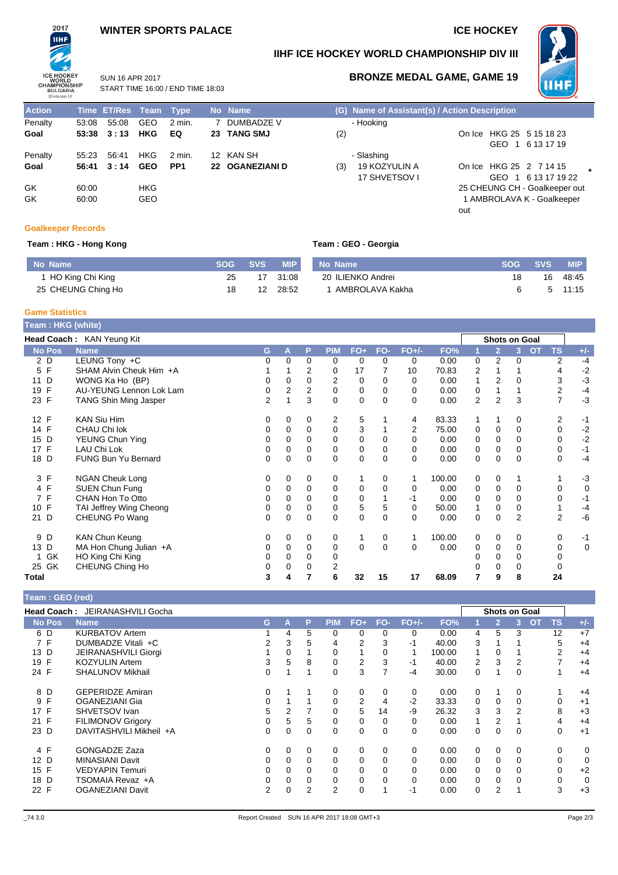# **WINTER SPORTS PALACE ICE HOCKEY**



**IIHF ICE HOCKEY WORLD CHAMPIONSHIP DIV III**



# **BRONZE MEDAL GAME, GAME 19**

**Action Time ET/Res Team Type No Name (G) Name of Assistant(s) / Action Description** Penalty 53:08 55:08 GEO 2 min. 7 DUMBADZE V - Hooking<br>
Goal 53:38 3:13 HKG EQ 23 TANG SMJ (2) **Goal 53:38 3 : 13 HKG EQ 23 TANG SMJ** (2) On Ice HKG 25 5 15 18 23 Penalty 55:23 56:41 HKG 2 min. 12 KAN SH - Slashing **Goal 56:41 3 : 14 GEO PP1 22 OGANEZIANI D** (3) 19 KOZYULIN A GK 60:00 HKG 60:00 HKG 60:00 HKG 25 CHEUNG CH - Goalkeeper out GK 60:00 GEO 60:00 GEO 60:00 GEO 60:00 GEO 60:00 GEO 60:00 GEO 60:00 GEO 60:00 GEO 60:00 GEO 60:00 GEO 60:00 GEO

START TIME 16:00 / END TIME 18:03

SUN 16 APR 2017

# GEO 1 6 13 17 19 17 SHVETSOV I On Ice HKG 25 2 7 14 15 **\*** GEO 1 6 13 17 19 22 out

## **Goalkeeper Records**

### **Team : HKG - Hong Kong Team : GEO - Georgia**

| No Name            | <b>SVS</b> | MIP.  | No Name           |    | <b>SVS</b> | MIP.  |
|--------------------|------------|-------|-------------------|----|------------|-------|
| HO King Chi King   |            | 31:08 | 20 ILIENKO Andrei | 18 | 16         | 48:45 |
| 25 CHEUNG Ching Ho |            | 28:52 | AMBROLAVA Kakha   |    |            | 11:15 |

## **Game Statistics**

| Team : HKG (white) |                              |                |                |          |             |             |          |          |        |             |                |                      |                        |             |
|--------------------|------------------------------|----------------|----------------|----------|-------------|-------------|----------|----------|--------|-------------|----------------|----------------------|------------------------|-------------|
|                    | Head Coach: KAN Yeung Kit    |                |                |          |             |             |          |          |        |             |                | <b>Shots on Goal</b> |                        |             |
| <b>No Pos</b>      | <b>Name</b>                  | G              | A              | P        | <b>PIM</b>  | $FO+$       | FO-      | $FO+/-$  | FO%    |             | $\overline{2}$ | 3                    | <b>OT</b><br><b>TS</b> | $+/-$       |
| 2 D                | LEUNG Tony +C                | 0              | 0              | 0        | 0           | 0           | 0        | 0        | 0.00   | 0           | $\overline{2}$ | 0                    | 2                      | $-4$        |
| F<br>5             | SHAM Alvin Cheuk Him +A      |                |                | 2        | 0           | 17          |          | 10       | 70.83  | 2           |                |                      | 4                      | $-2$        |
| D<br>11            | WONG Ka Ho (BP)              | 0              | 0              | 0        | 2           | 0           | 0        | 0        | 0.00   | 1           | 2              | 0                    | 3                      | $-3$        |
| F<br>19            | AU-YEUNG Lennon Lok Lam      | 0              | $\overline{2}$ | 2        | 0           | $\mathbf 0$ | $\Omega$ | 0        | 0.00   | 0           |                |                      | 2                      | $-4$        |
| $\mathsf{F}$<br>23 | <b>TANG Shin Ming Jasper</b> | $\overline{2}$ |                | 3        | $\Omega$    | $\Omega$    | $\Omega$ | $\Omega$ | 0.00   | 2           | 2              | 3                    | 7                      | $-3$        |
| 12 F               | <b>KAN Siu Him</b>           | 0              | 0              | 0        | 2           | 5           |          | 4        | 83.33  |             |                | 0                    | 2                      | $-1$        |
| F<br>14            | CHAU Chi lok                 | 0              | 0              | $\Omega$ | $\mathbf 0$ | 3           |          | 2        | 75.00  | 0           | 0              | $\Omega$             | 0                      | $-2$        |
| D<br>15            | YEUNG Chun Ying              | 0              | $\Omega$       | $\Omega$ | $\Omega$    | $\Omega$    | $\Omega$ | $\Omega$ | 0.00   | $\Omega$    | $\Omega$       | $\Omega$             | $\Omega$               | $-2$        |
| F<br>17            | LAU Chi Lok                  | 0              | 0              | 0        | 0           | 0           | 0        | 0        | 0.00   | 0           | 0              | 0                    | 0                      | $-1$        |
| 18 D               | <b>FUNG Bun Yu Bernard</b>   | 0              | 0              | 0        | 0           | $\mathbf 0$ | 0        | 0        | 0.00   | 0           | 0              | 0                    | 0                      | $-4$        |
| 3 F                | <b>NGAN Cheuk Long</b>       | 0              | 0              | 0        | 0           |             | $\Omega$ | 1        | 100.00 | 0           | 0              |                      |                        | $-3$        |
| 4 F                | <b>SUEN Chun Fung</b>        | 0              | 0              | $\Omega$ | 0           | 0           | $\Omega$ | 0        | 0.00   | $\mathbf 0$ | 0              | $\Omega$             | $\Omega$               | $\mathbf 0$ |
| $\mathsf{F}$<br>7  | CHAN Hon To Otto             | 0              | 0              | 0        | 0           | 0           |          | -1       | 0.00   | 0           | 0              | 0                    | 0                      | $-1$        |
| F<br>10            | TAI Jeffrey Wing Cheong      | 0              | 0              | 0        | 0           | 5           | 5        | 0        | 50.00  |             | 0              | 0                    |                        | $-4$        |
| D<br>21            | CHEUNG Po Wang               | $\Omega$       | 0              | $\Omega$ | $\Omega$    | $\mathbf 0$ | $\Omega$ | $\Omega$ | 0.00   | 0           | $\Omega$       | $\overline{2}$       | 2                      | -6          |
| D<br>9             | <b>KAN Chun Keung</b>        | 0              | 0              | 0        | 0           | 1           | 0        | 1        | 100.00 | 0           | 0              | 0                    | 0                      | $-1$        |
| D<br>13            | MA Hon Chung Julian +A       | 0              | 0              | 0        | 0           | $\Omega$    | $\Omega$ | 0        | 0.00   | 0           | 0              | 0                    | 0                      | 0           |
| GK                 | HO King Chi King             | 0              | 0              | 0        | $\mathbf 0$ |             |          |          |        | Ω           | 0              | $\Omega$             |                        |             |
| 25 GK              | CHEUNG Ching Ho              |                | 0              | 0        | 2           |             |          |          |        |             | $\Omega$       | 0                    |                        |             |
| Total              |                              | 3              | 4              |          | 6           | 32          | 15       | 17       | 68.09  | 7           | 9              | 8                    | 24                     |             |

| Team: GEO (red) |                                        |    |                |             |            |       |                |          |        |          |                |                      |             |             |
|-----------------|----------------------------------------|----|----------------|-------------|------------|-------|----------------|----------|--------|----------|----------------|----------------------|-------------|-------------|
|                 | <b>Head Coach: JEIRANASHVILI Gocha</b> |    |                |             |            |       |                |          |        |          |                | <b>Shots on Goal</b> |             |             |
| <b>No Pos</b>   | <b>Name</b>                            | G. | Α              | P           | <b>PIM</b> | $FO+$ | FO-            | $EO+/-$  | FO%    |          | $\overline{2}$ | <b>OT</b><br>3.      | <b>TS</b>   | $+/-$       |
| 6 D             | <b>KURBATOV Artem</b>                  |    | 4              | 5           | $\Omega$   | 0     | $\Omega$       | $\Omega$ | 0.00   | 4        | 5              | 3                    | 12          | $+7$        |
| 7 F             | DUMBADZE Vitali +C                     | 2  | 3              | 5           | 4          | 2     | 3              | -1       | 40.00  | 3        |                |                      | 5           | $+4$        |
| 13 D            | JEIRANASHVILI Giorgi                   |    | $\Omega$       |             | 0          |       | 0              |          | 100.00 | 1        | 0              |                      | 2           | $+4$        |
| 19 F            | <b>KOZYULIN Artem</b>                  | 3  | 5              | 8           | 0          | 2     | 3              | -1       | 40.00  | 2        | 3              | 2                    |             | $+4$        |
| 24 F            | <b>SHALUNOV Mikhail</b>                | 0  |                |             | 0          | 3     | $\overline{7}$ | $-4$     | 30.00  | 0        |                | 0                    | 1           | $+4$        |
| 8 D             | <b>GEPERIDZE Amiran</b>                | 0  |                |             | 0          | 0     | 0              | 0        | 0.00   | $\Omega$ |                | 0                    | 1           | $+4$        |
| 9 F             | <b>OGANEZIANI Gia</b>                  | 0  |                |             | 0          | 2     | 4              | $-2$     | 33.33  | 0        | 0              |                      | 0           | $+1$        |
| 17 F            | SHVETSOV Ivan                          | 5  | $\overline{2}$ |             | $\Omega$   | 5     | 14             | -9       | 26.32  | 3        | 3              | 2                    | 8           | $+3$        |
| 21 F            | <b>FILIMONOV Grigory</b>               | 0  | 5              | 5           | 0          | 0     | $\Omega$       | $\Omega$ | 0.00   | 1        | $\overline{2}$ |                      | 4           | $+4$        |
| 23 D            | DAVITASHVILI Mikheil +A                | 0  | $\Omega$       | $\mathbf 0$ | $\Omega$   | 0     | 0              | $\Omega$ | 0.00   | $\Omega$ | 0              | $\Omega$             | 0           | $+1$        |
| 4 F             | <b>GONGADZE Zaza</b>                   |    | 0              | $\Omega$    | $\Omega$   | 0     | $\Omega$       | 0        | 0.00   | $\Omega$ | $\Omega$       | $\Omega$             | $\Omega$    | 0           |
| 12 D            | <b>MINASIANI Davit</b>                 |    | $\Omega$       | $\Omega$    | 0          | 0     | 0              | $\Omega$ | 0.00   | $\Omega$ | $\Omega$       | 0                    | $\mathbf 0$ | 0           |
| 15 F            | <b>VEDYAPIN Temuri</b>                 | 0  | $\Omega$       | 0           | 0          | 0     | 0              | $\Omega$ | 0.00   | $\Omega$ | 0              | 0                    | 0           | $+2$        |
| 18 D            | TSOMAIA Revaz +A                       |    |                | 0           | 0          | 0     | 0              | $\Omega$ | 0.00   | $\Omega$ | $\mathbf 0$    |                      | $\mathbf 0$ | $\mathbf 0$ |
| 22 F            | <b>OGANEZIANI Davit</b>                | 2  |                | 2           | 2          | 0     |                | -1       | 0.00   | $\Omega$ | $\overline{2}$ |                      | 3           | $+3$        |